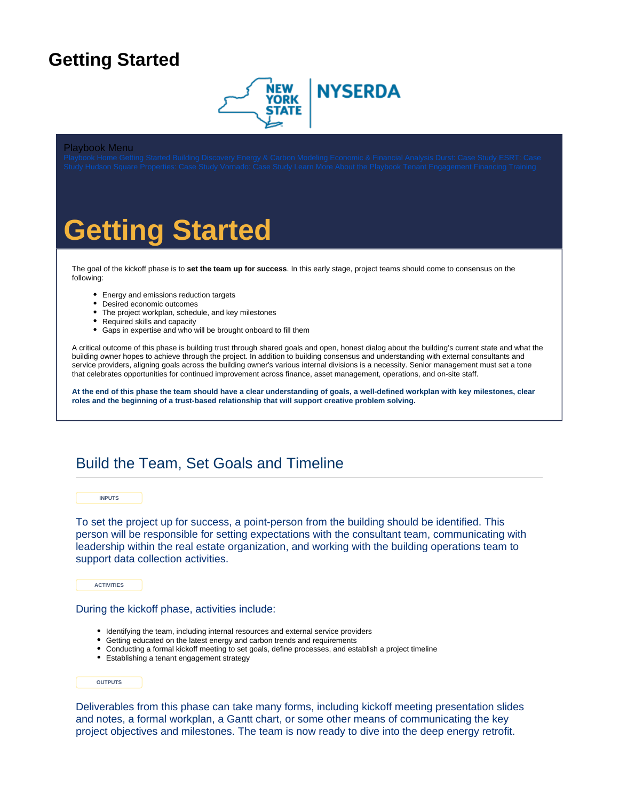## <span id="page-0-0"></span>**Getting Started**



### Playbook Menu

# **Getting Started**

The goal of the kickoff phase is to **set the team up for success**. In this early stage, project teams should come to consensus on the following:

- Energy and emissions reduction targets
- Desired economic outcomes
- The project workplan, schedule, and key milestones
- Required skills and capacity
- Gaps in expertise and who will be brought onboard to fill them

A critical outcome of this phase is building trust through shared goals and open, honest dialog about the building's current state and what the building owner hopes to achieve through the project. In addition to building consensus and understanding with external consultants and service providers, aligning goals across the building owner's various internal divisions is a necessity. Senior management must set a tone that celebrates opportunities for continued improvement across finance, asset management, operations, and on-site staff.

**At the end of this phase the team should have a clear understanding of goals, a well-defined workplan with key milestones, clear roles and the beginning of a trust-based relationship that will support creative problem solving.**

### Build the Team, Set Goals and Timeline

**INPUTS**

To set the project up for success, a point-person from the building should be identified. This person will be responsible for setting expectations with the consultant team, communicating with leadership within the real estate organization, and working with the building operations team to support data collection activities.

**ACTIVITIES**

During the kickoff phase, activities include:

- Identifying the team, including internal resources and external service providers
- Getting educated on the latest energy and carbon trends and requirements
- Conducting a formal kickoff meeting to set goals, define processes, and establish a project timeline
- Establishing a tenant engagement strategy

### **OUTPUTS**

Deliverables from this phase can take many forms, including kickoff meeting presentation slides and notes, a formal workplan, a Gantt chart, or some other means of communicating the key project objectives and milestones. The team is now ready to dive into the deep energy retrofit.